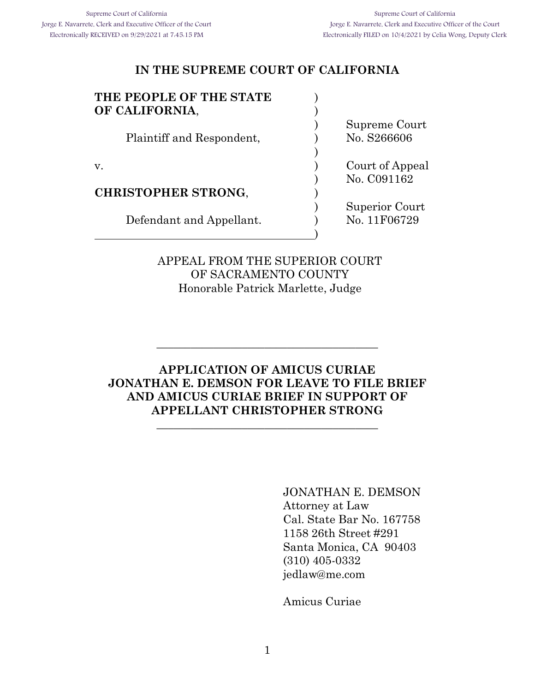| THE PEOPLE OF THE STATE    |                 |
|----------------------------|-----------------|
| OF CALIFORNIA,             |                 |
|                            | Supreme Court   |
| Plaintiff and Respondent,  | No. S266606     |
|                            |                 |
| V.                         | Court of Appeal |
|                            | No. C091162     |
| <b>CHRISTOPHER STRONG,</b> |                 |
|                            | Superior Court  |
| Defendant and Appellant.   | No. 11F06729    |

APPEAL FROM THE SUPERIOR COURT OF SACRAMENTO COUNTY Honorable Patrick Marlette, Judge

)

### **APPLICATION OF AMICUS CURIAE JONATHAN E. DEMSON FOR LEAVE TO FILE BRIEF AND AMICUS CURIAE BRIEF IN SUPPORT OF APPELLANT CHRISTOPHER STRONG**

\_\_\_\_\_\_\_\_\_\_\_\_\_\_\_\_\_\_\_\_\_\_\_\_\_\_\_\_\_\_\_\_\_\_\_\_\_\_\_

\_\_\_\_\_\_\_\_\_\_\_\_\_\_\_\_\_\_\_\_\_\_\_\_\_\_\_\_\_\_\_\_\_\_\_\_\_\_\_

JONATHAN E. DEMSON Attorney at Law Cal. State Bar No. 167758 1158 26th Street #291 Santa Monica, CA 90403 (310) 405-0332 jedlaw@me.com

Amicus Curiae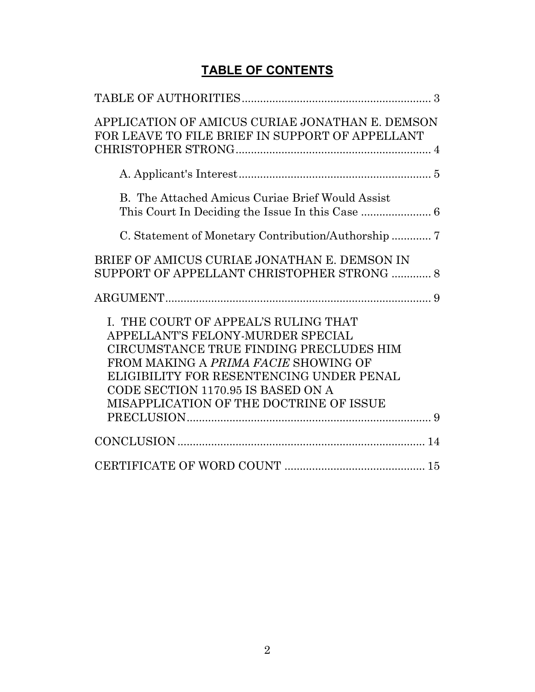# **TABLE OF CONTENTS**

| APPLICATION OF AMICUS CURIAE JONATHAN E. DEMSON<br>FOR LEAVE TO FILE BRIEF IN SUPPORT OF APPELLANT |
|----------------------------------------------------------------------------------------------------|
|                                                                                                    |
|                                                                                                    |
| B. The Attached Amicus Curiae Brief Would Assist                                                   |
|                                                                                                    |
| BRIEF OF AMICUS CURIAE JONATHAN E. DEMSON IN<br>SUPPORT OF APPELLANT CHRISTOPHER STRONG  8         |
|                                                                                                    |
| I. THE COURT OF APPEAL'S RULING THAT                                                               |
| APPELLANT'S FELONY-MURDER SPECIAL                                                                  |
| CIRCUMSTANCE TRUE FINDING PRECLUDES HIM                                                            |
| FROM MAKING A PRIMA FACIE SHOWING OF                                                               |
| ELIGIBILITY FOR RESENTENCING UNDER PENAL                                                           |
| CODE SECTION 1170.95 IS BASED ON A                                                                 |
| MISAPPLICATION OF THE DOCTRINE OF ISSUE                                                            |
|                                                                                                    |
|                                                                                                    |
|                                                                                                    |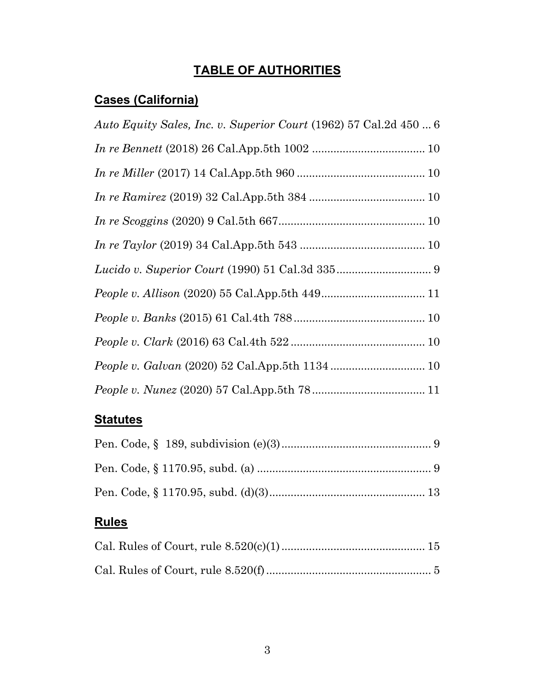# **TABLE OF AUTHORITIES**

# **Cases (California)**

| Auto Equity Sales, Inc. v. Superior Court (1962) 57 Cal.2d 450  6 |
|-------------------------------------------------------------------|
|                                                                   |
|                                                                   |
|                                                                   |
|                                                                   |
|                                                                   |
|                                                                   |
|                                                                   |
|                                                                   |
|                                                                   |
|                                                                   |
|                                                                   |

# **Statutes**

# **Rules**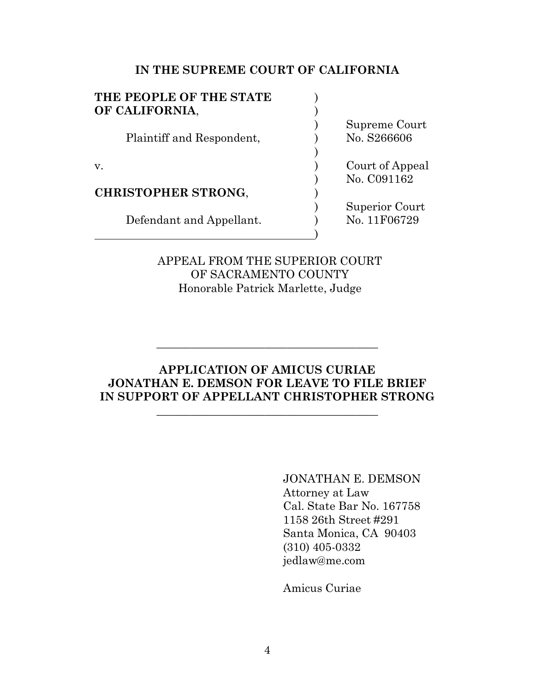| THE PEOPLE OF THE STATE    |                 |
|----------------------------|-----------------|
| OF CALIFORNIA,             |                 |
|                            | Supreme Court   |
| Plaintiff and Respondent,  | No. S266606     |
|                            |                 |
| v.                         | Court of Appeal |
|                            | No. C091162     |
| <b>CHRISTOPHER STRONG,</b> |                 |
|                            | Superior Court  |
| Defendant and Appellant.   | No. 11F06729    |
|                            |                 |
|                            |                 |

### APPEAL FROM THE SUPERIOR COURT OF SACRAMENTO COUNTY Honorable Patrick Marlette, Judge

#### **APPLICATION OF AMICUS CURIAE JONATHAN E. DEMSON FOR LEAVE TO FILE BRIEF IN SUPPORT OF APPELLANT CHRISTOPHER STRONG**

\_\_\_\_\_\_\_\_\_\_\_\_\_\_\_\_\_\_\_\_\_\_\_\_\_\_\_\_\_\_\_\_\_\_\_\_\_\_\_

\_\_\_\_\_\_\_\_\_\_\_\_\_\_\_\_\_\_\_\_\_\_\_\_\_\_\_\_\_\_\_\_\_\_\_\_\_\_\_

JONATHAN E. DEMSON Attorney at Law Cal. State Bar No. 167758 1158 26th Street #291 Santa Monica, CA 90403 (310) 405-0332 jedlaw@me.com

Amicus Curiae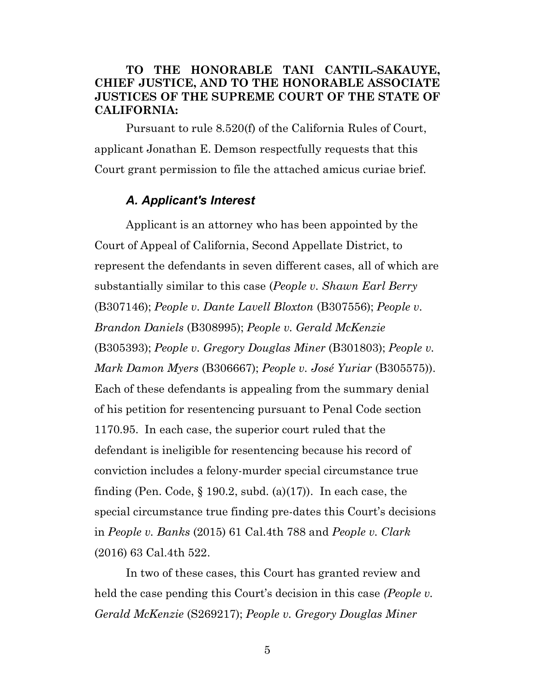#### **TO THE HONORABLE TANI CANTIL-SAKAUYE, CHIEF JUSTICE, AND TO THE HONORABLE ASSOCIATE JUSTICES OF THE SUPREME COURT OF THE STATE OF CALIFORNIA:**

Pursuant to rule 8.520(f) of the California Rules of Court, applicant Jonathan E. Demson respectfully requests that this Court grant permission to file the attached amicus curiae brief.

#### *A. Applicant's Interest*

Applicant is an attorney who has been appointed by the Court of Appeal of California, Second Appellate District, to represent the defendants in seven different cases, all of which are substantially similar to this case (*People v. Shawn Earl Berry* (B307146); *People v. Dante Lavell Bloxton* (B307556); *People v. Brandon Daniels* (B308995); *People v. Gerald McKenzie* (B305393); *People v. Gregory Douglas Miner* (B301803); *People v. Mark Damon Myers* (B306667); *People v. José Yuriar* (B305575)). Each of these defendants is appealing from the summary denial of his petition for resentencing pursuant to Penal Code section 1170.95. In each case, the superior court ruled that the defendant is ineligible for resentencing because his record of conviction includes a felony-murder special circumstance true finding (Pen. Code,  $\S 190.2$ , subd. (a)(17)). In each case, the special circumstance true finding pre-dates this Court's decisions in *People v. Banks* (2015) 61 Cal.4th 788 and *People v. Clark* (2016) 63 Cal.4th 522.

In two of these cases, this Court has granted review and held the case pending this Court's decision in this case *(People v. Gerald McKenzie* (S269217); *People v. Gregory Douglas Miner*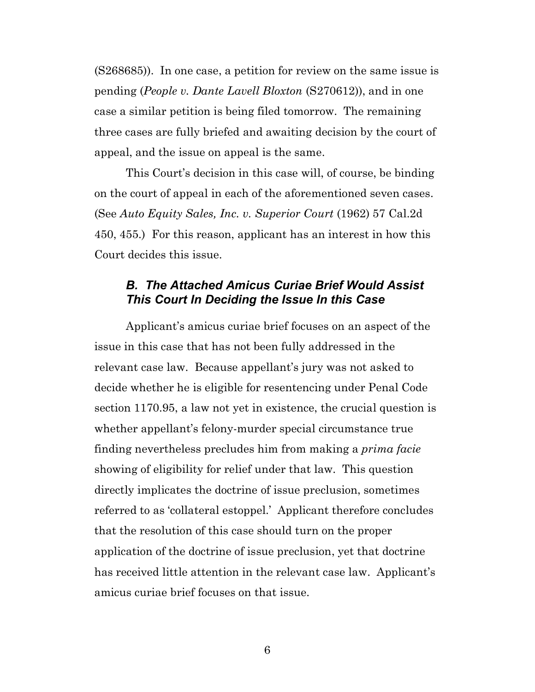(S268685)). In one case, a petition for review on the same issue is pending (*People v. Dante Lavell Bloxton* (S270612)), and in one case a similar petition is being filed tomorrow. The remaining three cases are fully briefed and awaiting decision by the court of appeal, and the issue on appeal is the same.

This Court's decision in this case will, of course, be binding on the court of appeal in each of the aforementioned seven cases. (See *Auto Equity Sales, Inc. v. Superior Court* (1962) 57 Cal.2d 450, 455.) For this reason, applicant has an interest in how this Court decides this issue.

## *B. The Attached Amicus Curiae Brief Would Assist This Court In Deciding the Issue In this Case*

Applicant's amicus curiae brief focuses on an aspect of the issue in this case that has not been fully addressed in the relevant case law. Because appellant's jury was not asked to decide whether he is eligible for resentencing under Penal Code section 1170.95, a law not yet in existence, the crucial question is whether appellant's felony-murder special circumstance true finding nevertheless precludes him from making a *prima facie* showing of eligibility for relief under that law. This question directly implicates the doctrine of issue preclusion, sometimes referred to as 'collateral estoppel.' Applicant therefore concludes that the resolution of this case should turn on the proper application of the doctrine of issue preclusion, yet that doctrine has received little attention in the relevant case law. Applicant's amicus curiae brief focuses on that issue.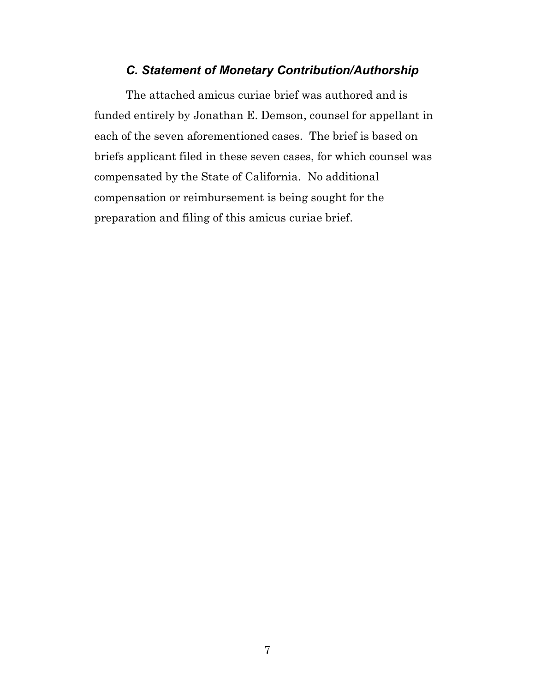### *C. Statement of Monetary Contribution/Authorship*

The attached amicus curiae brief was authored and is funded entirely by Jonathan E. Demson, counsel for appellant in each of the seven aforementioned cases. The brief is based on briefs applicant filed in these seven cases, for which counsel was compensated by the State of California. No additional compensation or reimbursement is being sought for the preparation and filing of this amicus curiae brief.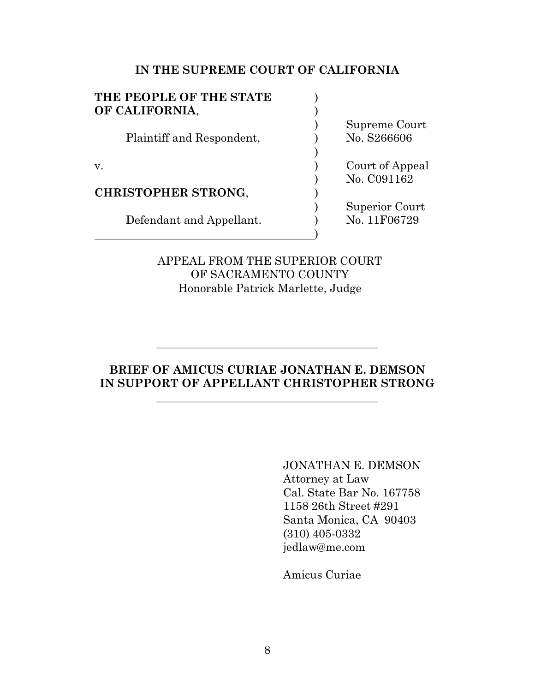| THE PEOPLE OF THE STATE    |                 |
|----------------------------|-----------------|
| OF CALIFORNIA,             |                 |
|                            | Supreme Court   |
| Plaintiff and Respondent,  | No. S266606     |
|                            |                 |
| v.                         | Court of Appeal |
|                            | No. C091162     |
| <b>CHRISTOPHER STRONG,</b> |                 |
|                            | Superior Court  |
| Defendant and Appellant.   | No. 11F06729    |
|                            |                 |
|                            |                 |

### APPEAL FROM THE SUPERIOR COURT OF SACRAMENTO COUNTY Honorable Patrick Marlette, Judge

### **BRIEF OF AMICUS CURIAE JONATHAN E. DEMSON IN SUPPORT OF APPELLANT CHRISTOPHER STRONG**

\_\_\_\_\_\_\_\_\_\_\_\_\_\_\_\_\_\_\_\_\_\_\_\_\_\_\_\_\_\_\_\_\_\_\_\_\_\_\_

\_\_\_\_\_\_\_\_\_\_\_\_\_\_\_\_\_\_\_\_\_\_\_\_\_\_\_\_\_\_\_\_\_\_\_\_\_\_\_

JONATHAN E. DEMSON Attorney at Law Cal. State Bar No. 167758 1158 26th Street #291 Santa Monica, CA 90403 (310) 405-0332 jedlaw@me.com

Amicus Curiae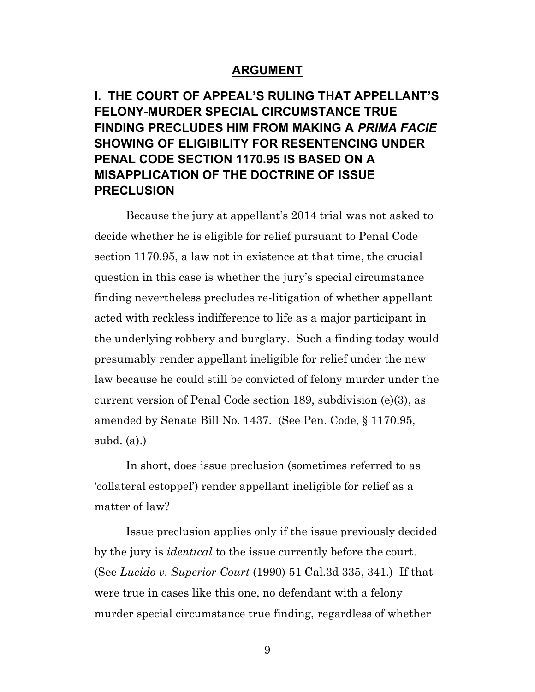#### **ARGUMENT**

**I. THE COURT OF APPEAL'S RULING THAT APPELLANT'S FELONY-MURDER SPECIAL CIRCUMSTANCE TRUE FINDING PRECLUDES HIM FROM MAKING A** *PRIMA FACIE* **SHOWING OF ELIGIBILITY FOR RESENTENCING UNDER PENAL CODE SECTION 1170.95 IS BASED ON A MISAPPLICATION OF THE DOCTRINE OF ISSUE PRECLUSION**

Because the jury at appellant's 2014 trial was not asked to decide whether he is eligible for relief pursuant to Penal Code section 1170.95, a law not in existence at that time, the crucial question in this case is whether the jury's special circumstance finding nevertheless precludes re-litigation of whether appellant acted with reckless indifference to life as a major participant in the underlying robbery and burglary. Such a finding today would presumably render appellant ineligible for relief under the new law because he could still be convicted of felony murder under the current version of Penal Code section 189, subdivision (e)(3), as amended by Senate Bill No. 1437. (See Pen. Code, § 1170.95, subd. (a).)

In short, does issue preclusion (sometimes referred to as 'collateral estoppel') render appellant ineligible for relief as a matter of law?

Issue preclusion applies only if the issue previously decided by the jury is *identical* to the issue currently before the court. (See *Lucido v. Superior Court* (1990) 51 Cal.3d 335, 341.) If that were true in cases like this one, no defendant with a felony murder special circumstance true finding, regardless of whether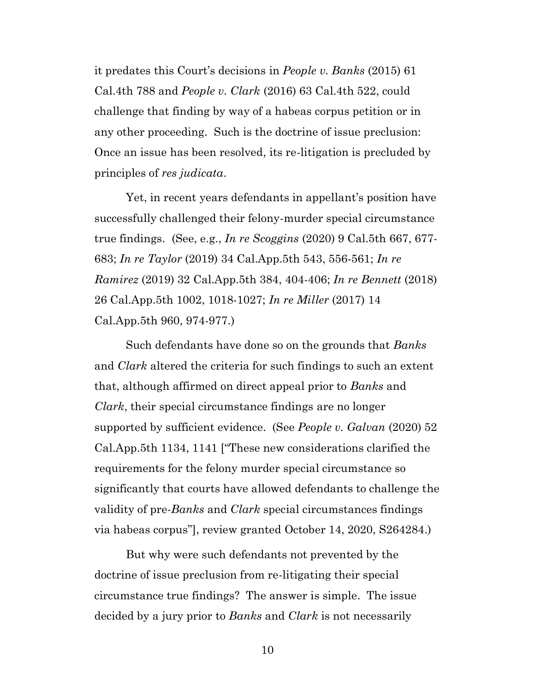it predates this Court's decisions in *People v. Banks* (2015) 61 Cal.4th 788 and *People v. Clark* (2016) 63 Cal.4th 522, could challenge that finding by way of a habeas corpus petition or in any other proceeding. Such is the doctrine of issue preclusion: Once an issue has been resolved, its re-litigation is precluded by principles of *res judicata*.

Yet, in recent years defendants in appellant's position have successfully challenged their felony-murder special circumstance true findings. (See, e.g., *In re Scoggins* (2020) 9 Cal.5th 667, 677- 683; *In re Taylor* (2019) 34 Cal.App.5th 543, 556-561; *In re Ramirez* (2019) 32 Cal.App.5th 384, 404-406; *In re Bennett* (2018) 26 Cal.App.5th 1002, 1018-1027; *In re Miller* (2017) 14 Cal.App.5th 960, 974-977.)

Such defendants have done so on the grounds that *Banks* and *Clark* altered the criteria for such findings to such an extent that, although affirmed on direct appeal prior to *Banks* and *Clark*, their special circumstance findings are no longer supported by sufficient evidence. (See *People v. Galvan* (2020) 52 Cal.App.5th 1134, 1141 ["These new considerations clarified the requirements for the felony murder special circumstance so significantly that courts have allowed defendants to challenge the validity of pre-*Banks* and *Clark* special circumstances findings via habeas corpus"], review granted October 14, 2020, S264284.)

But why were such defendants not prevented by the doctrine of issue preclusion from re-litigating their special circumstance true findings? The answer is simple. The issue decided by a jury prior to *Banks* and *Clark* is not necessarily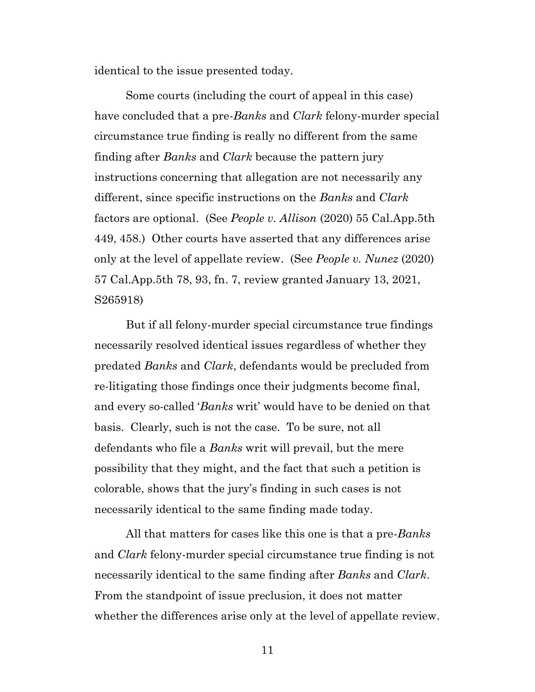identical to the issue presented today.

Some courts (including the court of appeal in this case) have concluded that a pre-*Banks* and *Clark* felony-murder special circumstance true finding is really no different from the same finding after *Banks* and *Clark* because the pattern jury instructions concerning that allegation are not necessarily any different, since specific instructions on the *Banks* and *Clark* factors are optional. (See *People v. Allison* (2020) 55 Cal.App.5th 449, 458.) Other courts have asserted that any differences arise only at the level of appellate review. (See *People v. Nunez* (2020) 57 Cal.App.5th 78, 93, fn. 7, review granted January 13, 2021, S265918)

But if all felony-murder special circumstance true findings necessarily resolved identical issues regardless of whether they predated *Banks* and *Clark*, defendants would be precluded from re-litigating those findings once their judgments become final, and every so-called '*Banks* writ' would have to be denied on that basis. Clearly, such is not the case. To be sure, not all defendants who file a *Banks* writ will prevail, but the mere possibility that they might, and the fact that such a petition is colorable, shows that the jury's finding in such cases is not necessarily identical to the same finding made today.

All that matters for cases like this one is that a pre-*Banks* and *Clark* felony-murder special circumstance true finding is not necessarily identical to the same finding after *Banks* and *Clark*. From the standpoint of issue preclusion, it does not matter whether the differences arise only at the level of appellate review.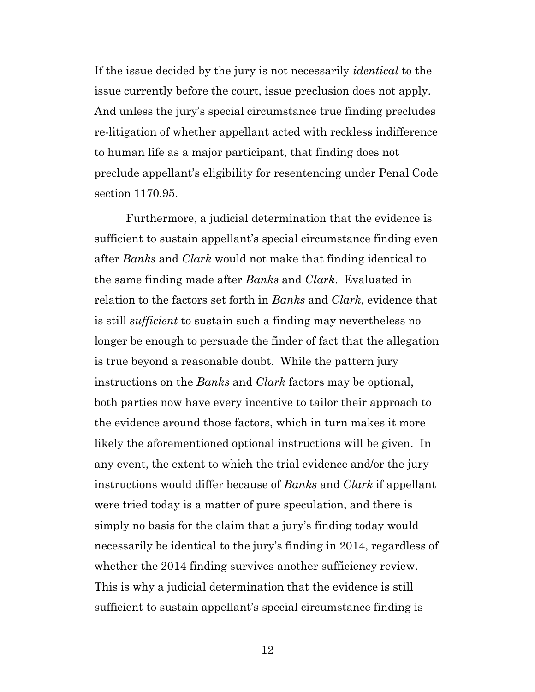If the issue decided by the jury is not necessarily *identical* to the issue currently before the court, issue preclusion does not apply. And unless the jury's special circumstance true finding precludes re-litigation of whether appellant acted with reckless indifference to human life as a major participant, that finding does not preclude appellant's eligibility for resentencing under Penal Code section 1170.95.

Furthermore, a judicial determination that the evidence is sufficient to sustain appellant's special circumstance finding even after *Banks* and *Clark* would not make that finding identical to the same finding made after *Banks* and *Clark*. Evaluated in relation to the factors set forth in *Banks* and *Clark*, evidence that is still *sufficient* to sustain such a finding may nevertheless no longer be enough to persuade the finder of fact that the allegation is true beyond a reasonable doubt. While the pattern jury instructions on the *Banks* and *Clark* factors may be optional, both parties now have every incentive to tailor their approach to the evidence around those factors, which in turn makes it more likely the aforementioned optional instructions will be given. In any event, the extent to which the trial evidence and/or the jury instructions would differ because of *Banks* and *Clark* if appellant were tried today is a matter of pure speculation, and there is simply no basis for the claim that a jury's finding today would necessarily be identical to the jury's finding in 2014, regardless of whether the 2014 finding survives another sufficiency review. This is why a judicial determination that the evidence is still sufficient to sustain appellant's special circumstance finding is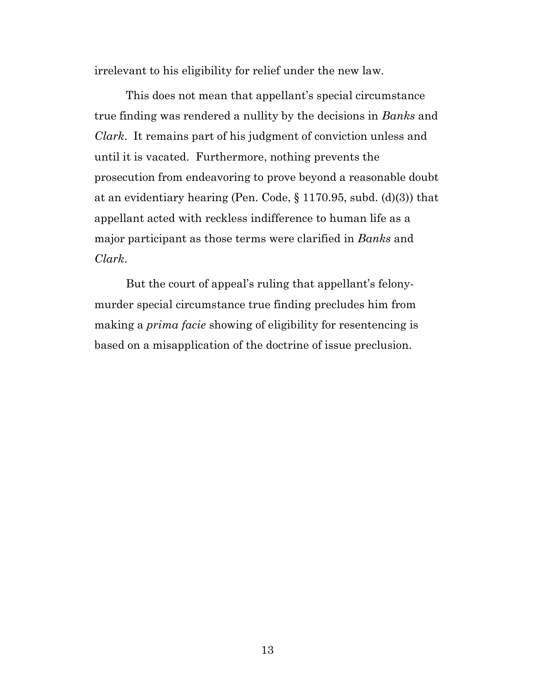irrelevant to his eligibility for relief under the new law.

This does not mean that appellant's special circumstance true finding was rendered a nullity by the decisions in *Banks* and *Clark*. It remains part of his judgment of conviction unless and until it is vacated. Furthermore, nothing prevents the prosecution from endeavoring to prove beyond a reasonable doubt at an evidentiary hearing (Pen. Code, § 1170.95, subd. (d)(3)) that appellant acted with reckless indifference to human life as a major participant as those terms were clarified in *Banks* and *Clark*.

But the court of appeal's ruling that appellant's felonymurder special circumstance true finding precludes him from making a *prima facie* showing of eligibility for resentencing is based on a misapplication of the doctrine of issue preclusion.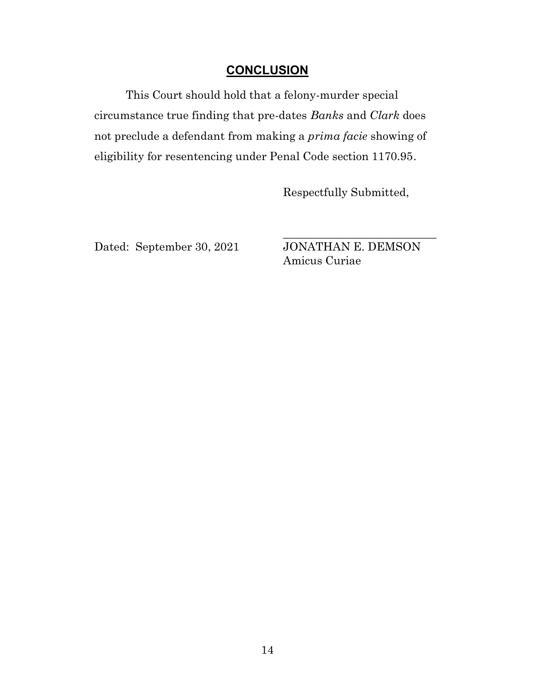### **CONCLUSION**

This Court should hold that a felony-murder special circumstance true finding that pre-dates *Banks* and *Clark* does not preclude a defendant from making a *prima facie* showing of eligibility for resentencing under Penal Code section 1170.95.

Respectfully Submitted,

Dated: September 30, 2021 JONATHAN E. DEMSON

Amicus Curiae

\_\_\_\_\_\_\_\_\_\_\_\_\_\_\_\_\_\_\_\_\_\_\_\_\_\_\_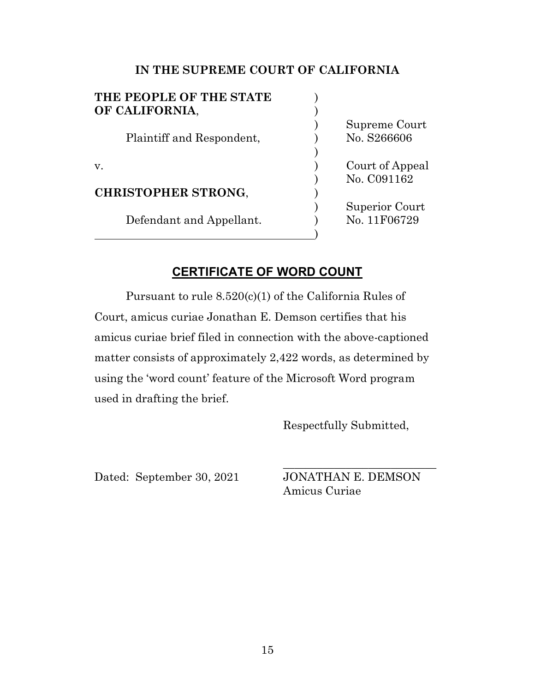| THE PEOPLE OF THE STATE    |                 |
|----------------------------|-----------------|
| OF CALIFORNIA,             |                 |
|                            | Supreme Court   |
| Plaintiff and Respondent,  | No. S266606     |
|                            |                 |
| V.                         | Court of Appeal |
|                            | No. C091162     |
| <b>CHRISTOPHER STRONG,</b> |                 |
|                            | Superior Court  |
| Defendant and Appellant.   | No. 11F06729    |
|                            |                 |

### **CERTIFICATE OF WORD COUNT**

Pursuant to rule 8.520(c)(1) of the California Rules of Court, amicus curiae Jonathan E. Demson certifies that his amicus curiae brief filed in connection with the above-captioned matter consists of approximately 2,422 words, as determined by using the 'word count' feature of the Microsoft Word program used in drafting the brief.

Respectfully Submitted,

Dated: September 30, 2021 JONATHAN E. DEMSON

Amicus Curiae

\_\_\_\_\_\_\_\_\_\_\_\_\_\_\_\_\_\_\_\_\_\_\_\_\_\_\_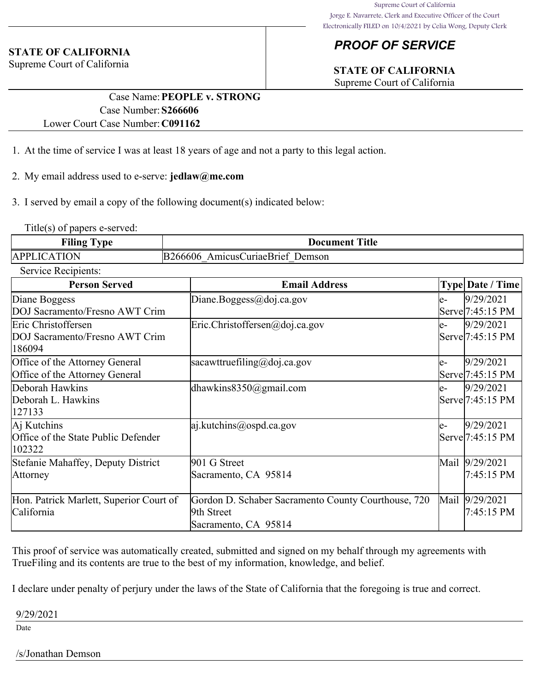## *PROOF OF SERVICE*

## **STATE OF CALIFORNIA**

Supreme Court of California

### **STATE OF CALIFORNIA**

Supreme Court of California

#### Case Name:**PEOPLE v. STRONG** Case Number:**S266606** Lower Court Case Number:**C091162**

- 1. At the time of service I was at least 18 years of age and not a party to this legal action.
- 2. My email address used to e-serve: **jedlaw@me.com**
- 3. I served by email a copy of the following document(s) indicated below:

Title(s) of papers e-served:

| Filing Type         | <b>Document Title</b>            |
|---------------------|----------------------------------|
| <b>APPLICATION</b>  | B266606 AmicusCuriaeBrief Demson |
| Service Recipients: |                                  |

| <b>Person Served</b>                    | <b>Email Address</b>                                     |      | <b>Type Date / Time</b>       |
|-----------------------------------------|----------------------------------------------------------|------|-------------------------------|
| Diane Boggess                           | Diane.Boggess@doj.ca.gov                                 | e-   | 9/29/2021                     |
| DOJ Sacramento/Fresno AWT Crim          |                                                          |      | Serve <sup>[7:45:15 PM]</sup> |
| Eric Christoffersen                     | $\text{Eric.Christoffersen}(\text{a},\text{doj.ca.gov})$ | le-  | 9/29/2021                     |
| DOJ Sacramento/Fresno AWT Crim          |                                                          |      | Serve <sup>[7:45:15 PM]</sup> |
| 186094                                  |                                                          |      |                               |
| Office of the Attorney General          | sacawttruefiling@doj.ca.gov                              | le-  | 9/29/2021                     |
| Office of the Attorney General          |                                                          |      | Serve <sup>[7:45:15 PM]</sup> |
| Deborah Hawkins                         | dhawkins $8350$ @gmail.com                               | le-  | 9/29/2021                     |
| Deborah L. Hawkins                      |                                                          |      | Serve 7:45:15 PM              |
| 127133                                  |                                                          |      |                               |
| Aj Kutchins                             | $ a $ .kutchins@ospd.ca.gov                              | le-  | 9/29/2021                     |
| Office of the State Public Defender     |                                                          |      | Serve 7:45:15 PM              |
| 102322                                  |                                                          |      |                               |
| Stefanie Mahaffey, Deputy District      | 901 G Street                                             | Mail | 9/29/2021                     |
| <b>Attorney</b>                         | Sacramento, CA 95814                                     |      | 7:45:15 PM                    |
|                                         |                                                          |      |                               |
| Hon. Patrick Marlett, Superior Court of | Gordon D. Schaber Sacramento County Courthouse, 720      | Mail | 9/29/2021                     |
| California                              | 9th Street                                               |      | 7:45:15 PM                    |
|                                         | Sacramento, CA 95814                                     |      |                               |

This proof of service was automatically created, submitted and signed on my behalf through my agreements with TrueFiling and its contents are true to the best of my information, knowledge, and belief.

I declare under penalty of perjury under the laws of the State of California that the foregoing is true and correct.

#### 9/29/2021

Date

#### /s/Jonathan Demson